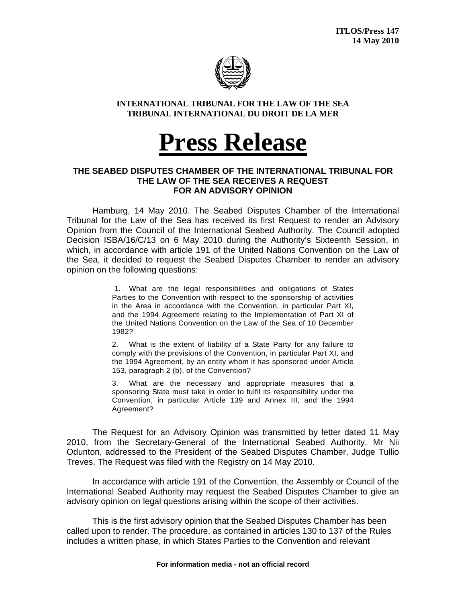

## **INTERNATIONAL TRIBUNAL FOR THE LAW OF THE SEA TRIBUNAL INTERNATIONAL DU DROIT DE LA MER**

## **Press Release**

## **THE SEABED DISPUTES CHAMBER OF THE INTERNATIONAL TRIBUNAL FOR THE LAW OF THE SEA RECEIVES A REQUEST FOR AN ADVISORY OPINION**

 Hamburg, 14 May 2010. The Seabed Disputes Chamber of the International Tribunal for the Law of the Sea has received its first Request to render an Advisory Opinion from the Council of the International Seabed Authority. The Council adopted Decision ISBA/16/C/13 on 6 May 2010 during the Authority's Sixteenth Session, in which, in accordance with article 191 of the United Nations Convention on the Law of the Sea, it decided to request the Seabed Disputes Chamber to render an advisory opinion on the following questions:

> 1. What are the legal responsibilities and obligations of States Parties to the Convention with respect to the sponsorship of activities in the Area in accordance with the Convention, in particular Part XI, and the 1994 Agreement relating to the Implementation of Part XI of the United Nations Convention on the Law of the Sea of 10 December 1982?

> 2. What is the extent of liability of a State Party for any failure to comply with the provisions of the Convention, in particular Part XI, and the 1994 Agreement, by an entity whom it has sponsored under Article 153, paragraph 2 (b), of the Convention?

> 3. What are the necessary and appropriate measures that a sponsoring State must take in order to fulfil its responsibility under the Convention, in particular Article 139 and Annex III, and the 1994 Agreement?

The Request for an Advisory Opinion was transmitted by letter dated 11 May 2010, from the Secretary-General of the International Seabed Authority, Mr Nii Odunton, addressed to the President of the Seabed Disputes Chamber, Judge Tullio Treves. The Request was filed with the Registry on 14 May 2010.

 In accordance with article 191 of the Convention, the Assembly or Council of the International Seabed Authority may request the Seabed Disputes Chamber to give an advisory opinion on legal questions arising within the scope of their activities.

This is the first advisory opinion that the Seabed Disputes Chamber has been called upon to render. The procedure, as contained in articles 130 to 137 of the Rules includes a written phase, in which States Parties to the Convention and relevant